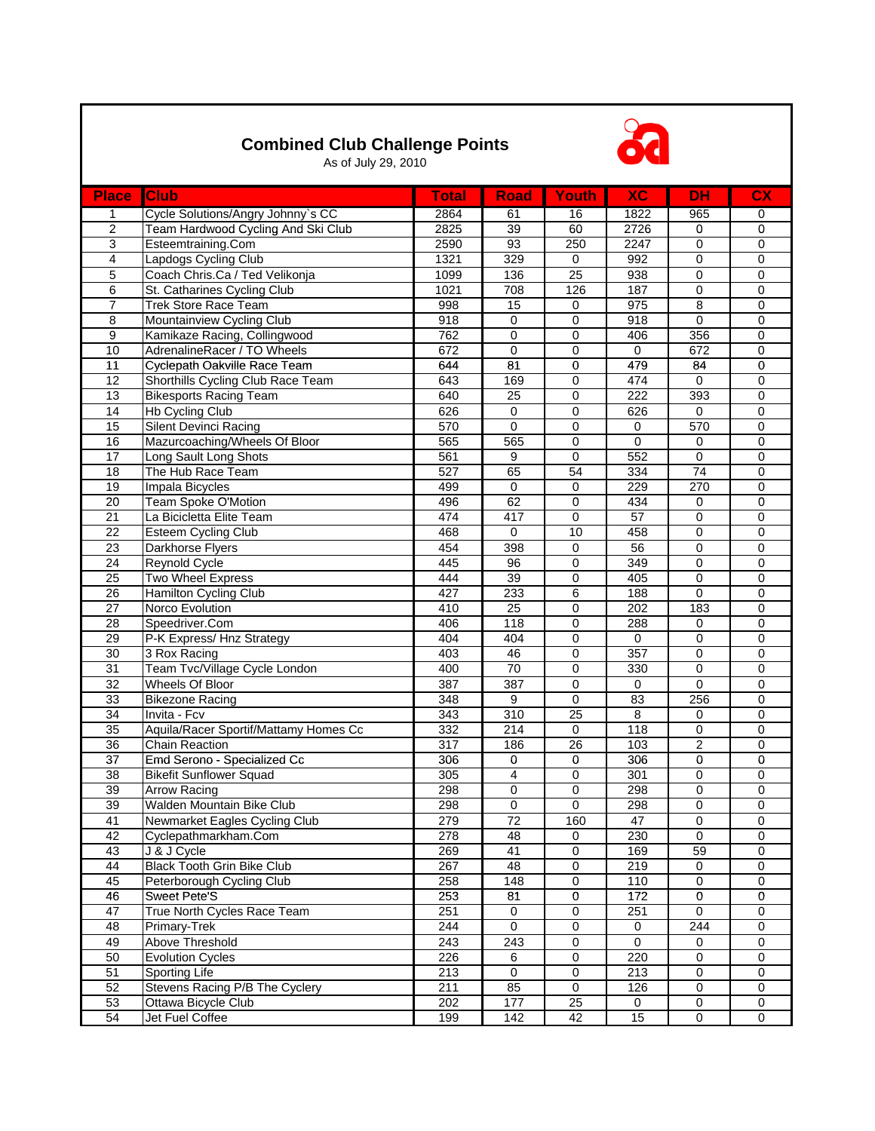## **Combined Club Challenge Points**



As of July 29, 2010

| <b>Place</b>    | <b>Club</b>                           | <b>Total</b>     | <b>Road</b>      | <b>Youth</b>    | <b>XC</b>        | <b>DH</b>       | <b>CX</b>      |
|-----------------|---------------------------------------|------------------|------------------|-----------------|------------------|-----------------|----------------|
| $\mathbf 1$     | Cycle Solutions/Angry Johnny's CC     | 2864             | 61               | 16              | 1822             | 965             | 0              |
| $\overline{2}$  | Team Hardwood Cycling And Ski Club    | 2825             | 39               | 60              | 2726             | $\mathbf 0$     | 0              |
| $\overline{3}$  | Esteemtraining.Com                    | 2590             | 93               | 250             | $\frac{1}{2247}$ | 0               | 0              |
| $\overline{4}$  | Lapdogs Cycling Club                  | 1321             | 329              | $\mathbf 0$     | 992              | 0               | 0              |
| $\overline{5}$  | Coach Chris.Ca / Ted Velikonja        | 1099             | 136              | 25              | 938              | 0               | 0              |
| 6               | St. Catharines Cycling Club           | $\frac{1021}{2}$ | 708              | 126             | 187              | 0               | 0              |
| $\overline{7}$  | <b>Trek Store Race Team</b>           | 998              | 15               | 0               | 975              | 8               | 0              |
| 8               | Mountainview Cycling Club             | 918              | $\mathbf 0$      | 0               | 918              | 0               | 0              |
| $\overline{9}$  | Kamikaze Racing, Collingwood          | 762              | $\pmb{0}$        | 0               | 406              | 356             | $\pmb{0}$      |
| 10              | AdrenalineRacer / TO Wheels           | 672              | $\mathbf 0$      | 0               | 0                | 672             | $\mathbf 0$    |
| 11              | Cyclepath Oakville Race Team          | 644              | 81               | 0               | 479              | 84              | $\pmb{0}$      |
| 12              | Shorthills Cycling Club Race Team     | 643              | 169              | 0               | 474              | 0               | 0              |
| 13              | <b>Bikesports Racing Team</b>         | 640              | 25               | $\pmb{0}$       | 222              | 393             | 0              |
| 14              | <b>Hb Cycling Club</b>                | 626              | 0                | $\overline{0}$  | 626              | $\mathbf 0$     | 0              |
| 15              | Silent Devinci Racing                 | 570              | $\mathbf 0$      | 0               | $\boldsymbol{0}$ | 570             | 0              |
| 16              | Mazurcoaching/Wheels Of Bloor         | 565              | 565              | 0               | $\pmb{0}$        | 0               | 0              |
| 17              | Long Sault Long Shots                 | 561              | $\boldsymbol{9}$ | $\mathbf 0$     | 552              | 0               | 0              |
| 18              | The Hub Race Team                     | 527              | 65               | 54              | 334              | $\overline{74}$ | 0              |
| 19              | Impala Bicycles                       | 499              | $\mathbf 0$      | 0               | 229              | 270             | 0              |
| 20              | Team Spoke O'Motion                   | 496              | 62               | 0               | 434              | 0               | 0              |
| $\overline{21}$ | La Bicicletta Elite Team              | 474              | 417              | 0               | 57               | 0               | 0              |
| 22              | <b>Esteem Cycling Club</b>            | 468              | $\pmb{0}$        | 10              | 458              | 0               | 0              |
| 23              | Darkhorse Flyers                      | 454              | 398              | 0               | 56               | 0               | 0              |
| 24              | <b>Reynold Cycle</b>                  | 445              | 96               | 0               | 349              | 0               | 0              |
| $\overline{25}$ | <b>Two Wheel Express</b>              | 444              | 39               | 0               | 405              | 0               | 0              |
| 26              | Hamilton Cycling Club                 | 427              | 233              | 6               | 188              | $\overline{0}$  | 0              |
| 27              | Norco Evolution                       | 410              | 25               | 0               | 202              | 183             | 0              |
| $\overline{28}$ | Speedriver.Com                        | 406              | 118              | 0               | 288              | 0               | 0              |
| 29              | P-K Express/ Hnz Strategy             | 404              | 404              | 0               | 0                | 0               | 0              |
| 30              | 3 Rox Racing                          | 403              | 46               | 0               | 357              | 0               | 0              |
| 31              | Team Tvc/Village Cycle London         | 400              | 70               | 0               | 330              | 0               | 0              |
| $\overline{32}$ | <b>Wheels Of Bloor</b>                | 387              | 387              | 0               | $\pmb{0}$        | 0               | 0              |
| 33              | <b>Bikezone Racing</b>                | 348              | 9                | 0               | 83               | 256             | 0              |
| $\overline{34}$ | Invita - Fcv                          | 343              | 310              | $\overline{25}$ | 8                | 0               | 0              |
| 35              | Aquila/Racer Sportif/Mattamy Homes Cc | 332              | 214              | 0               | 118              | 0               | 0              |
| 36              | <b>Chain Reaction</b>                 | 317              | 186              | 26              | 103              | $\overline{2}$  | 0              |
| 37              | Emd Serono - Specialized Cc           | 306              | $\mathbf 0$      | 0               | 306              | 0               | 0              |
| 38              | <b>Bikefit Sunflower Squad</b>        | 305              | 4                | 0               | 301              | 0               | 0              |
| 39              | <b>Arrow Racing</b>                   | 298              | $\pmb{0}$        | $\overline{0}$  | 298              | 0               | 0              |
| 39              | Walden Mountain Bike Club             | 298              | $\pmb{0}$        | 0               | 298              | 0               | 0              |
| 41              | Newmarket Eagles Cycling Club         | 279              | $\overline{72}$  | 160             | 47               | $\overline{0}$  | $\overline{0}$ |
| 42              | Cyclepathmarkham.Com                  | 278              | 48               | $\mathbf 0$     | 230              | $\mathbf 0$     | 0              |
| 43              | J & J Cycle                           | 269              | 41               | 0               | 169              | 59              | 0              |
| 44              | <b>Black Tooth Grin Bike Club</b>     | 267              | 48               | 0               | 219              | $\mathbf 0$     | 0              |
| 45              | Peterborough Cycling Club             | 258              | 148              | 0               | 110              | $\overline{0}$  | $\pmb{0}$      |
| 46              | <b>Sweet Pete'S</b>                   | 253              | 81               | $\overline{0}$  | 172              | $\mathbf 0$     | 0              |
| 47              | True North Cycles Race Team           | 251              | 0                | 0               | 251              | $\overline{0}$  | 0              |
| 48              | Primary-Trek                          | 244              | $\mathbf 0$      | 0               | 0                | 244             | 0              |
| 49              | Above Threshold                       | 243              | 243              | 0               | $\mathbf 0$      | $\mathbf 0$     | 0              |
| 50              | <b>Evolution Cycles</b>               | 226              | 6                | 0               | 220              | 0               | 0              |
| 51              | Sporting Life                         | 213              | $\mathbf 0$      | 0               | 213              | $\mathbf 0$     | 0              |
| 52              | Stevens Racing P/B The Cyclery        | 211              | 85               | $\overline{0}$  | 126              | $\overline{0}$  | 0              |
| 53              | Ottawa Bicycle Club                   | 202              | 177              | 25              | $\mathbf 0$      | $\overline{0}$  | 0              |
| 54              | Jet Fuel Coffee                       | 199              | 142              | 42              | 15               | $\overline{0}$  | $\mathbf 0$    |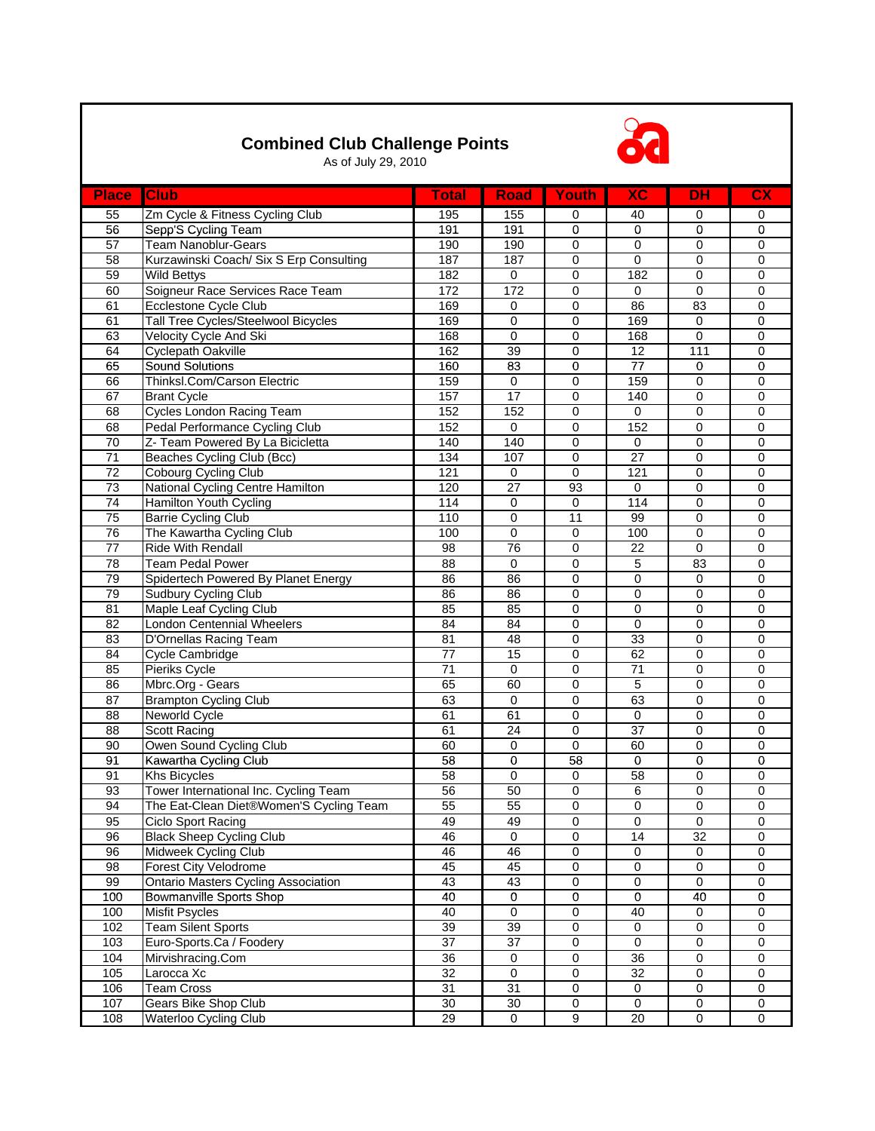## **Combined Club Challenge Points**



As of July 29, 2010

| <b>Place</b>    | <b>Club</b>                                | <b>Total</b>     | <b>Road</b>      | <b>Youth</b>    | <b>XC</b>       | <b>DH</b>      | <b>CX</b>      |
|-----------------|--------------------------------------------|------------------|------------------|-----------------|-----------------|----------------|----------------|
| 55              | Zm Cycle & Fitness Cycling Club            | 195              | 155              | 0               | 40              | 0              | 0              |
| 56              | Sepp'S Cycling Team                        | 191              | 191              | 0               | 0               | 0              | 0              |
| 57              | <b>Team Nanoblur-Gears</b>                 | 190              | 190              | 0               | 0               | 0              | $\pmb{0}$      |
| 58              | Kurzawinski Coach/ Six S Erp Consulting    | 187              | 187              | 0               | 0               | 0              | $\mathbf 0$    |
| 59              | Wild Bettys                                | 182              | $\mathbf 0$      | 0               | 182             | $\pmb{0}$      | $\mathbf 0$    |
| 60              | Soigneur Race Services Race Team           | 172              | 172              | 0               | $\mathbf 0$     | 0              | 0              |
| 61              | Ecclestone Cycle Club                      | 169              | $\pmb{0}$        | 0               | 86              | 83             | 0              |
| 61              | Tall Tree Cycles/Steelwool Bicycles        | 169              | $\mathbf 0$      | 0               | 169             | 0              | $\mathbf 0$    |
| 63              | <b>Velocity Cycle And Ski</b>              | 168              | $\pmb{0}$        | 0               | 168             | $\overline{0}$ | $\pmb{0}$      |
| 64              | <b>Cyclepath Oakville</b>                  | 162              | 39               | $\pmb{0}$       | 12              | 111            | 0              |
| 65              | <b>Sound Solutions</b>                     | 160              | 83               | 0               | 77              | 0              | 0              |
| 66              | Thinksl.Com/Carson Electric                | 159              | $\mathbf 0$      | 0               | 159             | 0              | 0              |
| 67              | <b>Brant Cycle</b>                         | 157              | 17               | 0               | 140             | 0              | 0              |
| 68              | <b>Cycles London Racing Team</b>           | 152              | 152              | 0               | $\mathbf 0$     | 0              | 0              |
| 68              | Pedal Performance Cycling Club             | 152              | $\mathbf 0$      | 0               | 152             | 0              | 0              |
| 70              | Z- Team Powered By La Bicicletta           | 140              | 140              | $\overline{0}$  | $\mathbf 0$     | $\overline{0}$ | $\pmb{0}$      |
| $\overline{71}$ | Beaches Cycling Club (Bcc)                 | 134              | 107              | 0               | 27              | 0              | $\mathbf 0$    |
| 72              | Cobourg Cycling Club                       | $\overline{121}$ | $\mathbf 0$      | 0               | 121             | $\pmb{0}$      | $\mathbf 0$    |
| 73              | National Cycling Centre Hamilton           | 120              | $\overline{27}$  | 93              | $\mathbf 0$     | $\mathbf 0$    | $\mathbf 0$    |
| 74              | Hamilton Youth Cycling                     | 114              | $\mathbf 0$      | 0               | 114             | 0              | $\mathbf 0$    |
| $\overline{75}$ | <b>Barrie Cycling Club</b>                 | 110              | $\pmb{0}$        | $\overline{11}$ | 99              | 0              | 0              |
| $\overline{76}$ | The Kawartha Cycling Club                  | 100              | $\pmb{0}$        | 0               | 100             | 0              | $\pmb{0}$      |
| $\overline{77}$ | Ride With Rendall                          | 98               | 76               | 0               | 22              | $\overline{0}$ | 0              |
| 78              | <b>Team Pedal Power</b>                    | $\overline{88}$  | $\pmb{0}$        | 0               | 5               | 83             | 0              |
| 79              | Spidertech Powered By Planet Energy        | 86               | 86               | 0               | $\pmb{0}$       | 0              | 0              |
| 79              | <b>Sudbury Cycling Club</b>                | 86               | 86               | 0               | 0               | 0              | 0              |
| 81              | Maple Leaf Cycling Club                    | 85               | 85               | $\overline{0}$  | 0               | 0              | 0              |
| 82              | London Centennial Wheelers                 | 84               | 84               | 0               | 0               | 0              | 0              |
| 83              | D'Ornellas Racing Team                     | 81               | 48               | 0               | 33              | 0              | $\overline{0}$ |
| 84              | Cycle Cambridge                            | 77               | 15               | 0               | 62              | 0              | $\mathbf 0$    |
| 85              | Pieriks Cycle                              | 71               | $\boldsymbol{0}$ | 0               | 71              | 0              | $\pmb{0}$      |
| 86              | Mbrc.Org - Gears                           | 65               | 60               | 0               | 5               | 0              | 0              |
| 87              | <b>Brampton Cycling Club</b>               | 63               | $\mathbf 0$      | 0               | 63              | 0              | 0              |
| 88              | Neworld Cycle                              | 61               | 61               | 0               | $\mathbf 0$     | 0              | 0              |
| 88              | <b>Scott Racing</b>                        | 61               | $\overline{24}$  | 0               | 37              | 0              | 0              |
| 90              | Owen Sound Cycling Club                    | 60               | 0                | 0               | 60              | 0              | 0              |
| 91              | Kawartha Cycling Club                      | 58               | $\mathbf 0$      | 58              | 0               | 0              | $\mathbf 0$    |
| 91              | <b>Khs Bicycles</b>                        | 58               | $\mathbf 0$      | 0               | 58              | 0              | 0              |
| 93              | Tower International Inc. Cycling Team      | 56               | 50               | 0               | 6               | 0              | 0              |
| 94              | The Eat-Clean Diet®Women'S Cycling Team    | 55               | 55               | 0               | 0               | 0              | 0              |
| 95              | Ciclo Sport Racing                         | 49               | 49               | 0               | 0               | $\overline{0}$ | 0              |
| 96              | <b>Black Sheep Cycling Club</b>            | 46               | $\overline{0}$   | $\overline{0}$  | 14              | 32             | 0              |
| 96              | Midweek Cycling Club                       | 46               | 46               | 0               | 0               | 0              | 0              |
| $\overline{98}$ | Forest City Velodrome                      | 45               | 45               | 0               | 0               | $\mathbf 0$    | 0              |
| 99              | <b>Ontario Masters Cycling Association</b> | 43               | 43               | 0               | 0               | $\overline{0}$ | 0              |
| 100             | <b>Bowmanville Sports Shop</b>             | 40               | $\pmb{0}$        | 0               | 0               | 40             | 0              |
| 100             | <b>Misfit Psycles</b>                      | 40               | $\pmb{0}$        | 0               | 40              | 0              | 0              |
| 102             | <b>Team Silent Sports</b>                  | 39               | 39               | 0               | 0               | 0              | 0              |
| 103             | Euro-Sports.Ca / Foodery                   | $\overline{37}$  | $\overline{37}$  | $\overline{0}$  | 0               | $\mathbf 0$    | 0              |
| 104             | Mirvishracing.Com                          | 36               | $\pmb{0}$        | 0               | 36              | $\mathbf 0$    | $\mathbf 0$    |
| 105             | Larocca Xc                                 | 32               | $\pmb{0}$        | 0               | 32              | 0              | $\pmb{0}$      |
| 106             | <b>Team Cross</b>                          | 31               | 31               | 0               | 0               | 0              | 0              |
| 107             | Gears Bike Shop Club                       | 30               | $30\,$           | 0               | 0               | 0              | 0              |
| 108             | <b>Waterloo Cycling Club</b>               | 29               | $\mathsf{O}$     | $\overline{9}$  | $\overline{20}$ | $\overline{0}$ | 0              |